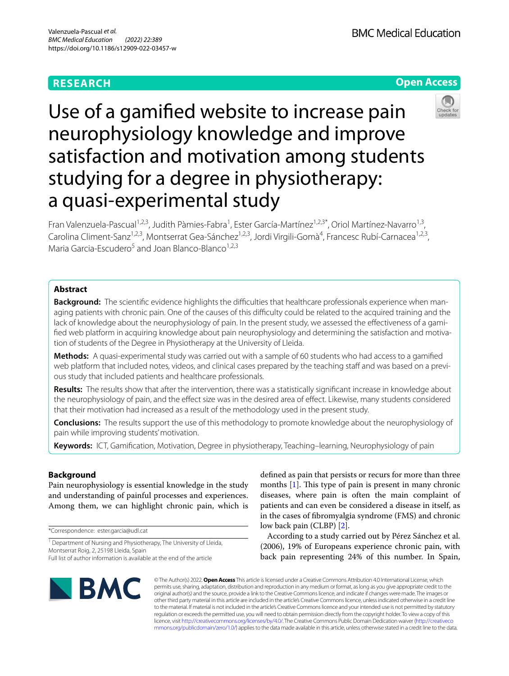## **RESEARCH**



# Use of a gamifed website to increase pain neurophysiology knowledge and improve satisfaction and motivation among students studying for a degree in physiotherapy: a quasi-experimental study

Fran Valenzuela-Pascual<sup>1,2,3</sup>, Judith Pàmies-Fabra<sup>1</sup>, Ester García-Martínez<sup>1,2,3\*</sup>, Oriol Martínez-Navarro<sup>1,3</sup>, Carolina Climent-Sanz<sup>1,2,3</sup>, Montserrat Gea-Sánchez<sup>1,2,3</sup>, Jordi Virgili-Gomà<sup>4</sup>, Francesc Rubí-Carnacea<sup>1,2,3</sup>, Maria Garcia-Escudero<sup>5</sup> and Joan Blanco-Blanco<sup>1,2,3</sup>

## **Abstract**

**Background:** The scientific evidence highlights the difficulties that healthcare professionals experience when managing patients with chronic pain. One of the causes of this difficulty could be related to the acquired training and the lack of knowledge about the neurophysiology of pain. In the present study, we assessed the effectiveness of a gamified web platform in acquiring knowledge about pain neurophysiology and determining the satisfaction and motivation of students of the Degree in Physiotherapy at the University of Lleida.

**Methods:** A quasi-experimental study was carried out with a sample of 60 students who had access to a gamifed web platform that included notes, videos, and clinical cases prepared by the teaching staff and was based on a previous study that included patients and healthcare professionals.

**Results:** The results show that after the intervention, there was a statistically signifcant increase in knowledge about the neurophysiology of pain, and the efect size was in the desired area of efect. Likewise, many students considered that their motivation had increased as a result of the methodology used in the present study.

**Conclusions:** The results support the use of this methodology to promote knowledge about the neurophysiology of pain while improving students' motivation.

**Keywords:** ICT, Gamifcation, Motivation, Degree in physiotherapy, Teaching–learning, Neurophysiology of pain

## **Background**

Pain neurophysiology is essential knowledge in the study and understanding of painful processes and experiences. Among them, we can highlight chronic pain, which is

\*Correspondence: ester.garcia@udl.cat

<sup>1</sup> Department of Nursing and Physiotherapy, The University of Lleida, Montserrat Roig, 2, 25198 Lleida, Spain Full list of author information is available at the end of the article

defned as pain that persists or recurs for more than three months  $[1]$ . This type of pain is present in many chronic diseases, where pain is often the main complaint of patients and can even be considered a disease in itself, as in the cases of fbromyalgia syndrome (FMS) and chronic low back pain (CLBP) [[2\]](#page-8-1).

According to a study carried out by Pérez Sánchez et al. (2006), 19% of Europeans experience chronic pain, with back pain representing 24% of this number. In Spain,



© The Author(s) 2022. **Open Access** This article is licensed under a Creative Commons Attribution 4.0 International License, which permits use, sharing, adaptation, distribution and reproduction in any medium or format, as long as you give appropriate credit to the original author(s) and the source, provide a link to the Creative Commons licence, and indicate if changes were made. The images or other third party material in this article are included in the article's Creative Commons licence, unless indicated otherwise in a credit line to the material. If material is not included in the article's Creative Commons licence and your intended use is not permitted by statutory regulation or exceeds the permitted use, you will need to obtain permission directly from the copyright holder. To view a copy of this licence, visit [http://creativecommons.org/licenses/by/4.0/.](http://creativecommons.org/licenses/by/4.0/) The Creative Commons Public Domain Dedication waiver ([http://creativeco](http://creativecommons.org/publicdomain/zero/1.0/) [mmons.org/publicdomain/zero/1.0/](http://creativecommons.org/publicdomain/zero/1.0/)) applies to the data made available in this article, unless otherwise stated in a credit line to the data.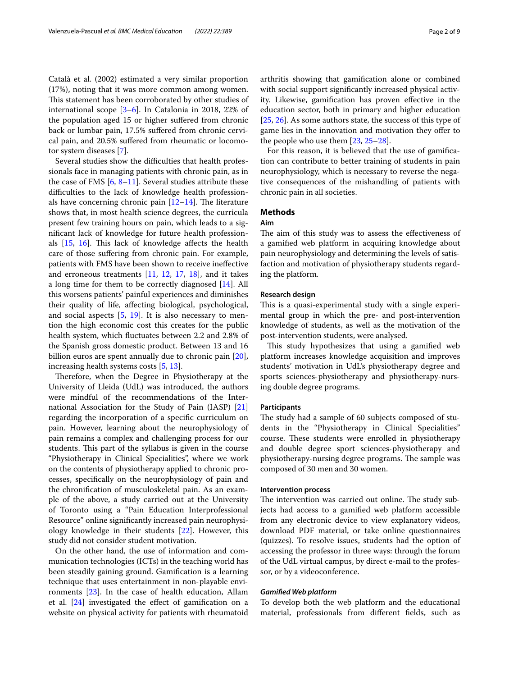Català et al. (2002) estimated a very similar proportion (17%), noting that it was more common among women. This statement has been corroborated by other studies of international scope [[3](#page-8-2)[–6](#page-8-3)]. In Catalonia in 2018, 22% of the population aged 15 or higher sufered from chronic back or lumbar pain, 17.5% sufered from chronic cervical pain, and 20.5% sufered from rheumatic or locomotor system diseases [\[7](#page-8-4)].

Several studies show the difficulties that health professionals face in managing patients with chronic pain, as in the case of FMS  $[6, 8-11]$  $[6, 8-11]$  $[6, 8-11]$  $[6, 8-11]$  $[6, 8-11]$ . Several studies attribute these difficulties to the lack of knowledge health professionals have concerning chronic pain  $[12-14]$  $[12-14]$  $[12-14]$ . The literature shows that, in most health science degrees, the curricula present few training hours on pain, which leads to a signifcant lack of knowledge for future health professionals  $[15, 16]$  $[15, 16]$  $[15, 16]$ . This lack of knowledge affects the health care of those sufering from chronic pain. For example, patients with FMS have been shown to receive inefective and erroneous treatments [[11,](#page-8-6) [12,](#page-8-7) [17,](#page-8-11) [18](#page-8-12)], and it takes a long time for them to be correctly diagnosed [[14\]](#page-8-8). All this worsens patients' painful experiences and diminishes their quality of life, afecting biological, psychological, and social aspects  $[5, 19]$  $[5, 19]$  $[5, 19]$  $[5, 19]$ . It is also necessary to mention the high economic cost this creates for the public health system, which fuctuates between 2.2 and 2.8% of the Spanish gross domestic product. Between 13 and 16 billion euros are spent annually due to chronic pain [\[20](#page-8-15)], increasing health systems costs [\[5,](#page-8-13) [13](#page-8-16)].

Therefore, when the Degree in Physiotherapy at the University of Lleida (UdL) was introduced, the authors were mindful of the recommendations of the International Association for the Study of Pain (IASP) [[21](#page-8-17)] regarding the incorporation of a specifc curriculum on pain. However, learning about the neurophysiology of pain remains a complex and challenging process for our students. This part of the syllabus is given in the course "Physiotherapy in Clinical Specialities", where we work on the contents of physiotherapy applied to chronic processes, specifcally on the neurophysiology of pain and the chronifcation of musculoskeletal pain. As an example of the above, a study carried out at the University of Toronto using a "Pain Education Interprofessional Resource" online signifcantly increased pain neurophysiology knowledge in their students [\[22](#page-8-18)]. However, this study did not consider student motivation.

On the other hand, the use of information and communication technologies (ICTs) in the teaching world has been steadily gaining ground. Gamifcation is a learning technique that uses entertainment in non-playable environments [[23\]](#page-8-19). In the case of health education, Allam et al. [\[24](#page-8-20)] investigated the efect of gamifcation on a website on physical activity for patients with rheumatoid arthritis showing that gamifcation alone or combined with social support signifcantly increased physical activity. Likewise, gamifcation has proven efective in the education sector, both in primary and higher education [[25,](#page-8-21) [26](#page-8-22)]. As some authors state, the success of this type of game lies in the innovation and motivation they offer to the people who use them [\[23](#page-8-19), [25](#page-8-21)[–28](#page-8-23)].

For this reason, it is believed that the use of gamifcation can contribute to better training of students in pain neurophysiology, which is necessary to reverse the negative consequences of the mishandling of patients with chronic pain in all societies.

## **Methods**

## **Aim**

The aim of this study was to assess the effectiveness of a gamifed web platform in acquiring knowledge about pain neurophysiology and determining the levels of satisfaction and motivation of physiotherapy students regarding the platform.

## **Research design**

This is a quasi-experimental study with a single experimental group in which the pre- and post-intervention knowledge of students, as well as the motivation of the post-intervention students, were analysed.

This study hypothesizes that using a gamified web platform increases knowledge acquisition and improves students' motivation in UdL's physiotherapy degree and sports sciences-physiotherapy and physiotherapy-nursing double degree programs.

## **Participants**

The study had a sample of 60 subjects composed of students in the "Physiotherapy in Clinical Specialities" course. These students were enrolled in physiotherapy and double degree sport sciences-physiotherapy and physiotherapy-nursing degree programs. The sample was composed of 30 men and 30 women.

## **Intervention process**

The intervention was carried out online. The study subjects had access to a gamifed web platform accessible from any electronic device to view explanatory videos, download PDF material, or take online questionnaires (quizzes). To resolve issues, students had the option of accessing the professor in three ways: through the forum of the UdL virtual campus, by direct e-mail to the professor, or by a videoconference.

### *Gamifed Web platform*

To develop both the web platform and the educational material, professionals from diferent felds, such as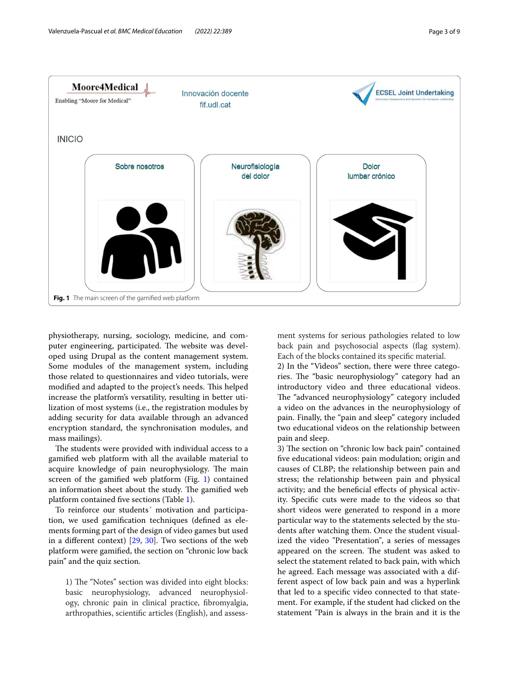

<span id="page-2-0"></span>physiotherapy, nursing, sociology, medicine, and computer engineering, participated. The website was developed using Drupal as the content management system. Some modules of the management system, including those related to questionnaires and video tutorials, were modified and adapted to the project's needs. This helped increase the platform's versatility, resulting in better utilization of most systems (i.e., the registration modules by adding security for data available through an advanced encryption standard, the synchronisation modules, and mass mailings).

The students were provided with individual access to a gamifed web platform with all the available material to acquire knowledge of pain neurophysiology. The main screen of the gamifed web platform (Fig. [1\)](#page-2-0) contained an information sheet about the study. The gamified web platform contained fve sections (Table [1\)](#page-3-0).

To reinforce our students´ motivation and participation, we used gamifcation techniques (defned as elements forming part of the design of video games but used in a diferent context) [\[29](#page-8-24), [30\]](#page-8-25). Two sections of the web platform were gamifed, the section on "chronic low back pain" and the quiz section.

1) The "Notes" section was divided into eight blocks: basic neurophysiology, advanced neurophysiology, chronic pain in clinical practice, fbromyalgia, arthropathies, scientifc articles (English), and assess-

ment systems for serious pathologies related to low back pain and psychosocial aspects (flag system). Each of the blocks contained its specifc material.

2) In the "Videos" section, there were three categories. The "basic neurophysiology" category had an introductory video and three educational videos. The "advanced neurophysiology" category included a video on the advances in the neurophysiology of pain. Finally, the "pain and sleep" category included two educational videos on the relationship between pain and sleep.

3) The section on "chronic low back pain" contained fve educational videos: pain modulation; origin and causes of CLBP; the relationship between pain and stress; the relationship between pain and physical activity; and the benefcial efects of physical activity. Specifc cuts were made to the videos so that short videos were generated to respond in a more particular way to the statements selected by the students after watching them. Once the student visualized the video "Presentation", a series of messages appeared on the screen. The student was asked to select the statement related to back pain, with which he agreed. Each message was associated with a different aspect of low back pain and was a hyperlink that led to a specifc video connected to that statement. For example, if the student had clicked on the statement "Pain is always in the brain and it is the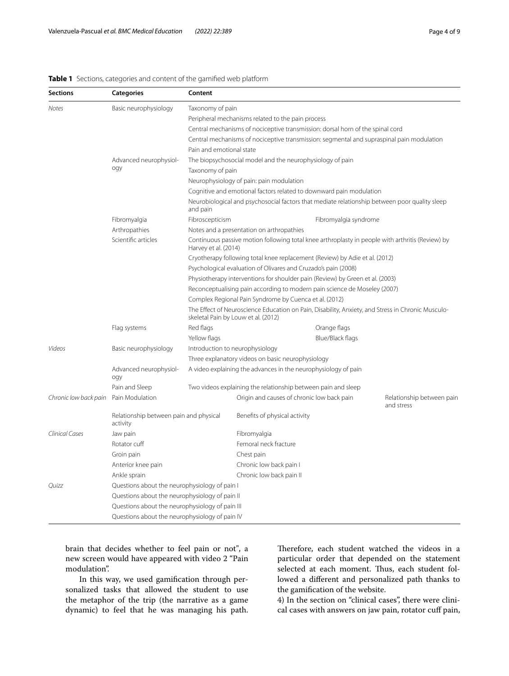<span id="page-3-0"></span>

| <b>Sections</b>       | <b>Categories</b>                                  | Content                                                                                                                                                                                                                                                                                                                                                          |                                                                                                  |                       |                                         |  |  |
|-----------------------|----------------------------------------------------|------------------------------------------------------------------------------------------------------------------------------------------------------------------------------------------------------------------------------------------------------------------------------------------------------------------------------------------------------------------|--------------------------------------------------------------------------------------------------|-----------------------|-----------------------------------------|--|--|
| Notes                 | Basic neurophysiology                              | Taxonomy of pain                                                                                                                                                                                                                                                                                                                                                 |                                                                                                  |                       |                                         |  |  |
|                       |                                                    | Peripheral mechanisms related to the pain process                                                                                                                                                                                                                                                                                                                |                                                                                                  |                       |                                         |  |  |
|                       |                                                    | Central mechanisms of nociceptive transmission: dorsal horn of the spinal cord                                                                                                                                                                                                                                                                                   |                                                                                                  |                       |                                         |  |  |
|                       |                                                    | Central mechanisms of nociceptive transmission: segmental and supraspinal pain modulation                                                                                                                                                                                                                                                                        |                                                                                                  |                       |                                         |  |  |
|                       |                                                    | Pain and emotional state                                                                                                                                                                                                                                                                                                                                         |                                                                                                  |                       |                                         |  |  |
|                       | Advanced neurophysiol-                             |                                                                                                                                                                                                                                                                                                                                                                  | The biopsychosocial model and the neurophysiology of pain                                        |                       |                                         |  |  |
|                       | ogy                                                | Taxonomy of pain                                                                                                                                                                                                                                                                                                                                                 |                                                                                                  |                       |                                         |  |  |
|                       |                                                    | Neurophysiology of pain: pain modulation                                                                                                                                                                                                                                                                                                                         |                                                                                                  |                       |                                         |  |  |
|                       |                                                    | Cognitive and emotional factors related to downward pain modulation                                                                                                                                                                                                                                                                                              |                                                                                                  |                       |                                         |  |  |
|                       |                                                    | Neurobiological and psychosocial factors that mediate relationship between poor quality sleep<br>and pain                                                                                                                                                                                                                                                        |                                                                                                  |                       |                                         |  |  |
|                       | Fibromyalgia                                       | Fibroscepticism                                                                                                                                                                                                                                                                                                                                                  |                                                                                                  | Fibromyalgia syndrome |                                         |  |  |
|                       | Arthropathies                                      |                                                                                                                                                                                                                                                                                                                                                                  | Notes and a presentation on arthropathies                                                        |                       |                                         |  |  |
|                       | Scientific articles                                | Harvey et al. (2014)                                                                                                                                                                                                                                                                                                                                             | Continuous passive motion following total knee arthroplasty in people with arthritis (Review) by |                       |                                         |  |  |
|                       |                                                    | Cryotherapy following total knee replacement (Review) by Adie et al. (2012)                                                                                                                                                                                                                                                                                      |                                                                                                  |                       |                                         |  |  |
|                       |                                                    | Psychological evaluation of Olivares and Cruzado's pain (2008)                                                                                                                                                                                                                                                                                                   |                                                                                                  |                       |                                         |  |  |
|                       |                                                    | Physiotherapy interventions for shoulder pain (Review) by Green et al. (2003)<br>Reconceptualising pain according to modern pain science de Moseley (2007)<br>Complex Regional Pain Syndrome by Cuenca et al. (2012)<br>The Effect of Neuroscience Education on Pain, Disability, Anxiety, and Stress in Chronic Musculo-<br>skeletal Pain by Louw et al. (2012) |                                                                                                  |                       |                                         |  |  |
|                       |                                                    |                                                                                                                                                                                                                                                                                                                                                                  |                                                                                                  |                       |                                         |  |  |
|                       |                                                    |                                                                                                                                                                                                                                                                                                                                                                  |                                                                                                  |                       |                                         |  |  |
|                       |                                                    |                                                                                                                                                                                                                                                                                                                                                                  |                                                                                                  |                       |                                         |  |  |
|                       | Flag systems                                       | Red flags                                                                                                                                                                                                                                                                                                                                                        |                                                                                                  | Orange flags          |                                         |  |  |
|                       |                                                    | Yellow flags                                                                                                                                                                                                                                                                                                                                                     |                                                                                                  | Blue/Black flags      |                                         |  |  |
| Videos                | Basic neurophysiology                              | Introduction to neurophysiology<br>Three explanatory videos on basic neurophysiology                                                                                                                                                                                                                                                                             |                                                                                                  |                       |                                         |  |  |
|                       |                                                    |                                                                                                                                                                                                                                                                                                                                                                  |                                                                                                  |                       |                                         |  |  |
|                       | Advanced neurophysiol-<br>ogy                      | A video explaining the advances in the neurophysiology of pain                                                                                                                                                                                                                                                                                                   |                                                                                                  |                       |                                         |  |  |
|                       | Pain and Sleep                                     | Two videos explaining the relationship between pain and sleep                                                                                                                                                                                                                                                                                                    |                                                                                                  |                       |                                         |  |  |
| Chronic low back pain | Pain Modulation                                    |                                                                                                                                                                                                                                                                                                                                                                  | Origin and causes of chronic low back pain                                                       |                       | Relationship between pain<br>and stress |  |  |
|                       | Relationship between pain and physical<br>activity |                                                                                                                                                                                                                                                                                                                                                                  | Benefits of physical activity                                                                    |                       |                                         |  |  |
| Clinical Cases        | Jaw pain                                           |                                                                                                                                                                                                                                                                                                                                                                  | Fibromyalgia                                                                                     |                       |                                         |  |  |
|                       | Rotator cuff                                       |                                                                                                                                                                                                                                                                                                                                                                  | Femoral neck fracture                                                                            |                       |                                         |  |  |
|                       | Groin pain                                         |                                                                                                                                                                                                                                                                                                                                                                  | Chest pain                                                                                       |                       |                                         |  |  |
|                       | Anterior knee pain                                 |                                                                                                                                                                                                                                                                                                                                                                  | Chronic low back pain I                                                                          |                       |                                         |  |  |
|                       | Ankle sprain                                       |                                                                                                                                                                                                                                                                                                                                                                  | Chronic low back pain II                                                                         |                       |                                         |  |  |
| Ouizz                 | Questions about the neurophysiology of pain I      |                                                                                                                                                                                                                                                                                                                                                                  |                                                                                                  |                       |                                         |  |  |
|                       | Questions about the neurophysiology of pain II     |                                                                                                                                                                                                                                                                                                                                                                  |                                                                                                  |                       |                                         |  |  |
|                       | Questions about the neurophysiology of pain III    |                                                                                                                                                                                                                                                                                                                                                                  |                                                                                                  |                       |                                         |  |  |
|                       | Questions about the neurophysiology of pain IV     |                                                                                                                                                                                                                                                                                                                                                                  |                                                                                                  |                       |                                         |  |  |

brain that decides whether to feel pain or not", a new screen would have appeared with video 2 "Pain modulation".

In this way, we used gamifcation through personalized tasks that allowed the student to use the metaphor of the trip (the narrative as a game dynamic) to feel that he was managing his path.

Therefore, each student watched the videos in a particular order that depended on the statement selected at each moment. Thus, each student followed a diferent and personalized path thanks to the gamifcation of the website.

4) In the section on "clinical cases", there were clinical cases with answers on jaw pain, rotator cuff pain,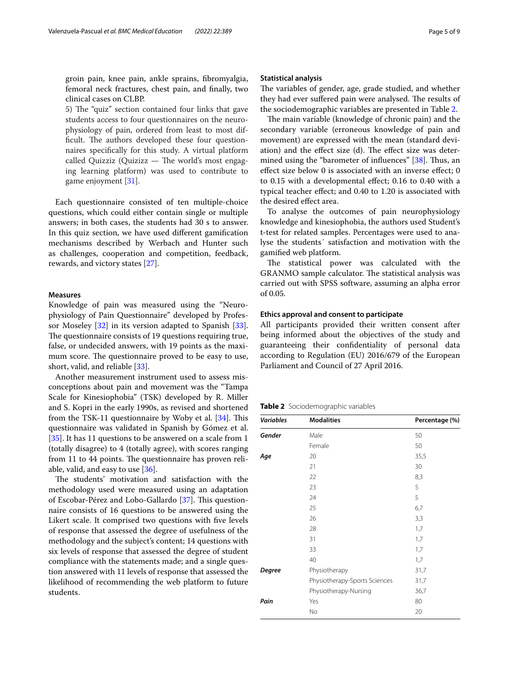groin pain, knee pain, ankle sprains, fbromyalgia, femoral neck fractures, chest pain, and fnally, two clinical cases on CLBP.

5) The "quiz" section contained four links that gave students access to four questionnaires on the neurophysiology of pain, ordered from least to most difficult. The authors developed these four questionnaires specifcally for this study. A virtual platform called Quizziz (Quizizz  $-$  The world's most engaging learning platform) was used to contribute to game enjoyment [[31](#page-8-26)].

Each questionnaire consisted of ten multiple-choice questions, which could either contain single or multiple answers; in both cases, the students had 30 s to answer. In this quiz section, we have used diferent gamifcation mechanisms described by Werbach and Hunter such as challenges, cooperation and competition, feedback, rewards, and victory states [\[27\]](#page-8-27).

## **Measures**

Knowledge of pain was measured using the "Neurophysiology of Pain Questionnaire" developed by Professor Moseley [[32\]](#page-8-28) in its version adapted to Spanish [\[33](#page-8-29)]. The questionnaire consists of 19 questions requiring true, false, or undecided answers, with 19 points as the maximum score. The questionnaire proved to be easy to use, short, valid, and reliable [[33\]](#page-8-29).

Another measurement instrument used to assess misconceptions about pain and movement was the "Tampa Scale for Kinesiophobia" (TSK) developed by R. Miller and S. Kopri in the early 1990s, as revised and shortened from the TSK-11 questionnaire by Woby et al.  $[34]$  $[34]$ . This questionnaire was validated in Spanish by Gómez et al. [[35\]](#page-8-31). It has 11 questions to be answered on a scale from 1 (totally disagree) to 4 (totally agree), with scores ranging from 11 to 44 points. The questionnaire has proven reliable, valid, and easy to use [\[36\]](#page-8-32).

The students' motivation and satisfaction with the methodology used were measured using an adaptation of Escobar-Pérez and Lobo-Gallardo [\[37\]](#page-8-33). This questionnaire consists of 16 questions to be answered using the Likert scale. It comprised two questions with fve levels of response that assessed the degree of usefulness of the methodology and the subject's content; 14 questions with six levels of response that assessed the degree of student compliance with the statements made; and a single question answered with 11 levels of response that assessed the likelihood of recommending the web platform to future students.

### **Statistical analysis**

The variables of gender, age, grade studied, and whether they had ever suffered pain were analysed. The results of the sociodemographic variables are presented in Table [2](#page-4-0).

The main variable (knowledge of chronic pain) and the secondary variable (erroneous knowledge of pain and movement) are expressed with the mean (standard deviation) and the effect size (d). The effect size was deter-mined using the "barometer of influences" [\[38](#page-8-34)]. Thus, an efect size below 0 is associated with an inverse efect; 0 to 0.15 with a developmental efect; 0.16 to 0.40 with a typical teacher efect; and 0.40 to 1.20 is associated with the desired efect area.

To analyse the outcomes of pain neurophysiology knowledge and kinesiophobia, the authors used Student's t-test for related samples. Percentages were used to analyse the students´ satisfaction and motivation with the gamifed web platform.

The statistical power was calculated with the GRANMO sample calculator. The statistical analysis was carried out with SPSS software, assuming an alpha error of 0.05.

## **Ethics approval and consent to participate**

All participants provided their written consent after being informed about the objectives of the study and guaranteeing their confdentiality of personal data according to Regulation (EU) 2016/679 of the European Parliament and Council of 27 April 2016.

<span id="page-4-0"></span>**Table 2** Sociodemographic variables

| <b>Variables</b> | <b>Modalities</b>             | Percentage (%) |  |
|------------------|-------------------------------|----------------|--|
| Gender           | Male                          | 50             |  |
|                  | Female                        | 50             |  |
| Age              | 20                            | 35,5           |  |
|                  | 21                            | 30             |  |
|                  | 22                            | 8,3            |  |
|                  | 23                            | 5              |  |
|                  | 24                            | 5              |  |
|                  | 25                            | 6,7            |  |
|                  | 26                            | 3,3            |  |
|                  | 28                            | 1,7            |  |
|                  | 31                            | 1,7            |  |
|                  | 33                            | 1,7            |  |
|                  | 40                            | 1,7            |  |
| Degree           | Physiotherapy                 | 31,7           |  |
|                  | Physiotherapy-Sports Sciences | 31,7           |  |
|                  | Physiotherapy-Nursing         | 36,7           |  |
| Pain             | Yes                           | 80             |  |
|                  | No                            | 20             |  |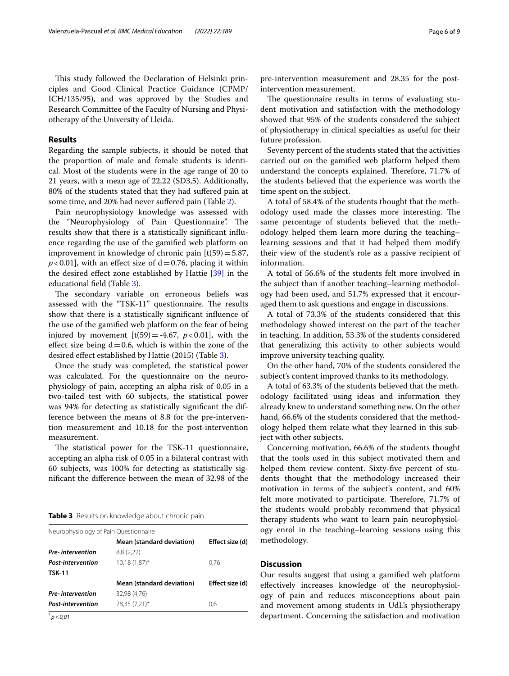This study followed the Declaration of Helsinki principles and Good Clinical Practice Guidance (CPMP/ ICH/135/95), and was approved by the Studies and Research Committee of the Faculty of Nursing and Physiotherapy of the University of Lleida.

## **Results**

Regarding the sample subjects, it should be noted that the proportion of male and female students is identical. Most of the students were in the age range of 20 to 21 years, with a mean age of 22,22 (SD3,5). Additionally, 80% of the students stated that they had sufered pain at some time, and 20% had never sufered pain (Table [2\)](#page-4-0).

Pain neurophysiology knowledge was assessed with the "Neurophysiology of Pain Questionnaire". The results show that there is a statistically signifcant infuence regarding the use of the gamifed web platform on improvement in knowledge of chronic pain  $[t(59)=5.87,$  $p$ <0.01], with an effect size of  $d$  = 0.76, placing it within the desired efect zone established by Hattie [\[39](#page-8-35)] in the educational feld (Table [3](#page-5-0)).

The secondary variable on erroneous beliefs was assessed with the "TSK-11" questionnaire. The results show that there is a statistically signifcant infuence of the use of the gamifed web platform on the fear of being injured by movement  $[t(59) = -4.67, p < 0.01]$ , with the effect size being  $d=0.6$ , which is within the zone of the desired efect established by Hattie (2015) (Table [3](#page-5-0)).

Once the study was completed, the statistical power was calculated. For the questionnaire on the neurophysiology of pain, accepting an alpha risk of 0.05 in a two-tailed test with 60 subjects, the statistical power was 94% for detecting as statistically signifcant the difference between the means of 8.8 for the pre-intervention measurement and 10.18 for the post-intervention measurement.

The statistical power for the TSK-11 questionnaire, accepting an alpha risk of 0.05 in a bilateral contrast with 60 subjects, was 100% for detecting as statistically signifcant the diference between the mean of 32.98 of the

### <span id="page-5-0"></span>**Table 3** Results on knowledge about chronic pain

| Neurophysiology of Pain Questionnaire |                 |
|---------------------------------------|-----------------|
| Mean (standard deviation)             | Effect size (d) |
| 8,8(2,22)                             |                 |
| $10,18(1,87)^{*}$                     | 0.76            |
|                                       |                 |
| Mean (standard deviation)             | Effect size (d) |
| 32,98 (4,76)                          |                 |
| 28,35 (7,21)*                         | 0.6             |
|                                       |                 |

*\* p*<*0,01*

pre-intervention measurement and 28.35 for the postintervention measurement.

The questionnaire results in terms of evaluating student motivation and satisfaction with the methodology showed that 95% of the students considered the subject of physiotherapy in clinical specialties as useful for their future profession.

Seventy percent of the students stated that the activities carried out on the gamifed web platform helped them understand the concepts explained. Therefore, 71.7% of the students believed that the experience was worth the time spent on the subject.

A total of 58.4% of the students thought that the methodology used made the classes more interesting. The same percentage of students believed that the methodology helped them learn more during the teaching– learning sessions and that it had helped them modify their view of the student's role as a passive recipient of information.

A total of 56.6% of the students felt more involved in the subject than if another teaching–learning methodology had been used, and 51.7% expressed that it encouraged them to ask questions and engage in discussions.

A total of 73.3% of the students considered that this methodology showed interest on the part of the teacher in teaching. In addition, 53.3% of the students considered that generalizing this activity to other subjects would improve university teaching quality.

On the other hand, 70% of the students considered the subject's content improved thanks to its methodology.

A total of 63.3% of the students believed that the methodology facilitated using ideas and information they already knew to understand something new. On the other hand, 66.6% of the students considered that the methodology helped them relate what they learned in this subject with other subjects.

Concerning motivation, 66.6% of the students thought that the tools used in this subject motivated them and helped them review content. Sixty-fve percent of students thought that the methodology increased their motivation in terms of the subject's content, and 60% felt more motivated to participate. Therefore, 71.7% of the students would probably recommend that physical therapy students who want to learn pain neurophysiology enrol in the teaching–learning sessions using this methodology.

## **Discussion**

Our results suggest that using a gamifed web platform efectively increases knowledge of the neurophysiology of pain and reduces misconceptions about pain and movement among students in UdL's physiotherapy department. Concerning the satisfaction and motivation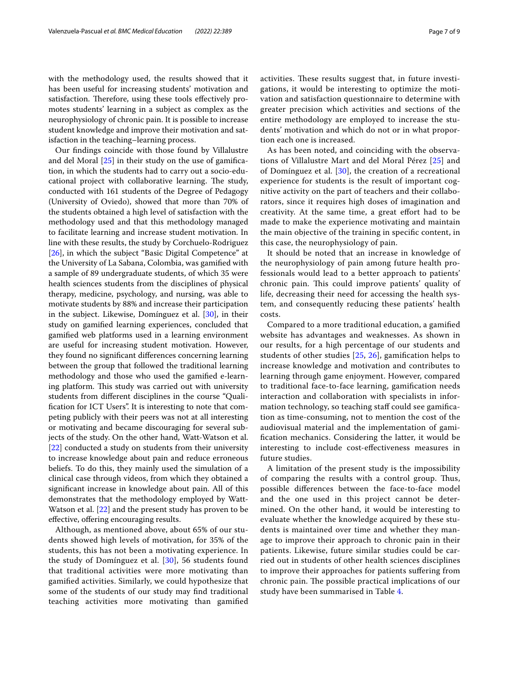with the methodology used, the results showed that it has been useful for increasing students' motivation and satisfaction. Therefore, using these tools effectively promotes students' learning in a subject as complex as the neurophysiology of chronic pain. It is possible to increase student knowledge and improve their motivation and satisfaction in the teaching–learning process.

Our fndings coincide with those found by Villalustre and del Moral [\[25\]](#page-8-21) in their study on the use of gamifcation, in which the students had to carry out a socio-educational project with collaborative learning. The study, conducted with 161 students of the Degree of Pedagogy (University of Oviedo), showed that more than 70% of the students obtained a high level of satisfaction with the methodology used and that this methodology managed to facilitate learning and increase student motivation. In line with these results, the study by Corchuelo-Rodriguez [[26\]](#page-8-22), in which the subject "Basic Digital Competence" at the University of La Sabana, Colombia, was gamifed with a sample of 89 undergraduate students, of which 35 were health sciences students from the disciplines of physical therapy, medicine, psychology, and nursing, was able to motivate students by 88% and increase their participation in the subject. Likewise, Domínguez et al. [[30](#page-8-25)], in their study on gamifed learning experiences, concluded that gamifed web platforms used in a learning environment are useful for increasing student motivation. However, they found no signifcant diferences concerning learning between the group that followed the traditional learning methodology and those who used the gamifed e-learning platform. This study was carried out with university students from diferent disciplines in the course "Qualifcation for ICT Users". It is interesting to note that competing publicly with their peers was not at all interesting or motivating and became discouraging for several subjects of the study. On the other hand, Watt-Watson et al. [[22\]](#page-8-18) conducted a study on students from their university to increase knowledge about pain and reduce erroneous beliefs. To do this, they mainly used the simulation of a clinical case through videos, from which they obtained a signifcant increase in knowledge about pain. All of this demonstrates that the methodology employed by Watt-Watson et al. [\[22\]](#page-8-18) and the present study has proven to be efective, ofering encouraging results.

Although, as mentioned above, about 65% of our students showed high levels of motivation, for 35% of the students, this has not been a motivating experience. In the study of Domínguez et al. [\[30](#page-8-25)], 56 students found that traditional activities were more motivating than gamifed activities. Similarly, we could hypothesize that some of the students of our study may fnd traditional teaching activities more motivating than gamifed activities. These results suggest that, in future investigations, it would be interesting to optimize the motivation and satisfaction questionnaire to determine with greater precision which activities and sections of the entire methodology are employed to increase the students' motivation and which do not or in what proportion each one is increased.

As has been noted, and coinciding with the observations of Villalustre Mart and del Moral Pérez [\[25](#page-8-21)] and of Domínguez et al. [[30\]](#page-8-25), the creation of a recreational experience for students is the result of important cognitive activity on the part of teachers and their collaborators, since it requires high doses of imagination and creativity. At the same time, a great efort had to be made to make the experience motivating and maintain the main objective of the training in specifc content, in this case, the neurophysiology of pain.

It should be noted that an increase in knowledge of the neurophysiology of pain among future health professionals would lead to a better approach to patients' chronic pain. This could improve patients' quality of life, decreasing their need for accessing the health system, and consequently reducing these patients' health costs.

Compared to a more traditional education, a gamifed website has advantages and weaknesses. As shown in our results, for a high percentage of our students and students of other studies  $[25, 26]$  $[25, 26]$  $[25, 26]$  $[25, 26]$  $[25, 26]$ , gamification helps to increase knowledge and motivation and contributes to learning through game enjoyment. However, compared to traditional face-to-face learning, gamifcation needs interaction and collaboration with specialists in information technology, so teaching staf could see gamifcation as time-consuming, not to mention the cost of the audiovisual material and the implementation of gamifcation mechanics. Considering the latter, it would be interesting to include cost-efectiveness measures in future studies.

A limitation of the present study is the impossibility of comparing the results with a control group. Thus, possible diferences between the face-to-face model and the one used in this project cannot be determined. On the other hand, it would be interesting to evaluate whether the knowledge acquired by these students is maintained over time and whether they manage to improve their approach to chronic pain in their patients. Likewise, future similar studies could be carried out in students of other health sciences disciplines to improve their approaches for patients sufering from chronic pain. The possible practical implications of our study have been summarised in Table [4.](#page-7-0)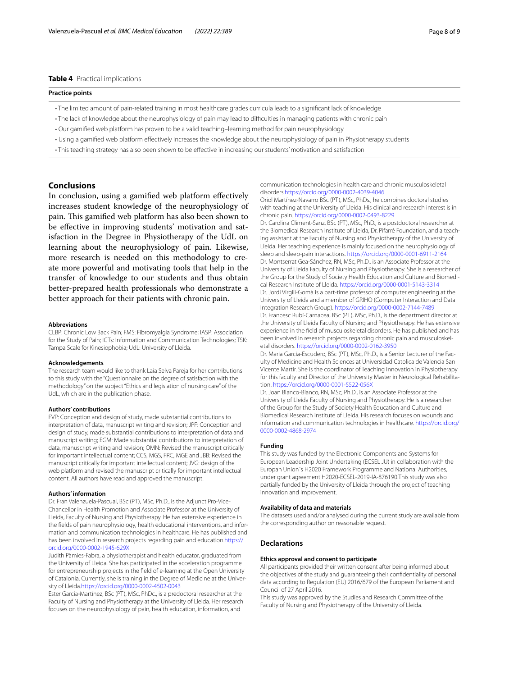## <span id="page-7-0"></span>**Table 4** Practical implications

#### **Practice points**

- The limited amount of pain-related training in most healthcare grades curricula leads to a signifcant lack of knowledge
- The lack of knowledge about the neurophysiology of pain may lead to difculties in managing patients with chronic pain
- Our gamifed web platform has proven to be a valid teaching–learning method for pain neurophysiology
- Using a gamifed web platform efectively increases the knowledge about the neurophysiology of pain in Physiotherapy students
- This teaching strategy has also been shown to be efective in increasing our students' motivation and satisfaction

## **Conclusions**

In conclusion, using a gamifed web platform efectively increases student knowledge of the neurophysiology of pain. This gamified web platform has also been shown to be efective in improving students' motivation and satisfaction in the Degree in Physiotherapy of the UdL on learning about the neurophysiology of pain. Likewise, more research is needed on this methodology to create more powerful and motivating tools that help in the transfer of knowledge to our students and thus obtain better-prepared health professionals who demonstrate a better approach for their patients with chronic pain.

#### **Abbreviations**

CLBP: Chronic Low Back Pain; FMS: Fibromyalgia Syndrome; IASP: Association for the Study of Pain; ICTs: Information and Communication Technologies; TSK: Tampa Scale for Kinesiophobia; UdL: University of Lleida.

#### **Acknowledgements**

The research team would like to thank Laia Selva Pareja for her contributions to this study with the "Questionnaire on the degree of satisfaction with the methodology" on the subject "Ethics and legislation of nursing care" of the UdL, which are in the publication phase.

#### **Authors' contributions**

FVP: Conception and design of study, made substantial contributions to interpretation of data, manuscript writing and revision; JPF: Conception and design of study, made substantial contributions to interpretation of data and manuscript writing; EGM: Made substantial contributions to interpretation of data, manuscript writing and revision; OMN: Revised the manuscript critically for important intellectual content; CCS, MGS, FRC, MGE and JBB: Revised the manuscript critically for important intellectual content; JVG: design of the web platform and revised the manuscript critically for important intellectual content. All authors have read and approved the manuscript.

#### **Authors' information**

Dr. Fran Valenzuela-Pascual, BSc (PT), MSc, Ph.D., is the Adjunct Pro-Vice-Chancellor in Health Promotion and Associate Professor at the University of Lleida, Faculty of Nursing and Physiotherapy. He has extensive experience in the fields of pain neurophysiology, health educational interventions, and information and communication technologies in healthcare. He has published and has been involved in research projects regarding pain and education.[https://](https://orcid.org/0000-0002-1945-629X) [orcid.org/0000-0002-1945-629X](https://orcid.org/0000-0002-1945-629X)

Judith Pàmies-Fabra, a physiotherapist and health educator, graduated from the University of Lleida. She has participated in the acceleration programme for entrepreneurship projects in the feld of e-learning at the Open University of Catalonia. Currently, she is training in the Degree of Medicine at the University of Lleida.<https://orcid.org/0000-0002-4502-0043>

Ester García-Martínez, BSc (PT), MSc, PhDc., is a predoctoral researcher at the Faculty of Nursing and Physiotherapy at the University of Lleida. Her research focuses on the neurophysiology of pain, health education, information, and

communication technologies in health care and chronic musculoskeletal disorders[.https://orcid.org/0000-0002-4039-4046](https://orcid.org/0000-0002-4039-4046)

Oriol Martínez-Navarro BSc (PT), MSc, PhDs., he combines doctoral studies with teaching at the University of Lleida. His clinical and research interest is in chronic pain. <https://orcid.org/0000-0002-0493-8229>

Dr. Carolina Climent-Sanz, BSc (PT), MSc, PhD., is a postdoctoral researcher at the Biomedical Research Institute of Lleida, Dr. Pifarré Foundation, and a teaching assistant at the Faculty of Nursing and Physiotherapy of the University of Lleida. Her teaching experience is mainly focused on the neurophysiology of sleep and sleep-pain interactions.<https://orcid.org/0000-0001-6911-2164> Dr. Montserrat Gea-Sánchez, RN, MSc, Ph.D., is an Associate Professor at the University of Lleida Faculty of Nursing and Physiotherapy. She is a researcher of the Group for the Study of Society Health Education and Culture and Biomedical Research Institute of Lleida. <https://orcid.org/0000-0001-5143-3314> Dr. Jordi Virgili-Gomà is a part-time professor of computer engineering at the University of Lleida and a member of GRIHO (Computer Interaction and Data Integration Research Group). <https://orcid.org/0000-0002-7144-7489> Dr. Francesc Rubí-Carnacea, BSc (PT), MSc, Ph.D., is the department director at the University of Lleida Faculty of Nursing and Physiotherapy. He has extensive experience in the feld of musculoskeletal disorders. He has published and has been involved in research projects regarding chronic pain and musculoskeletal disorders.<https://orcid.org/0000-0002-0162-3950>

Dr. Maria Garcia-Escudero, BSc (PT), MSc, Ph.D., is a Senior Lecturer of the Faculty of Medicine and Health Sciences at Universidad Catolica de Valencia San Vicente Martir. She is the coordinator of Teaching Innovation in Physiotherapy for this faculty and Director of the University Master in Neurological Rehabilitation. <https://orcid.org/0000-0001-5522-056X>

Dr. Joan Blanco-Blanco, RN, MSc, Ph.D., is an Associate Professor at the University of Lleida Faculty of Nursing and Physiotherapy. He is a researcher of the Group for the Study of Society Health Education and Culture and Biomedical Research Institute of Lleida. His research focuses on wounds and information and communication technologies in healthcare. [https://orcid.org/](https://orcid.org/0000-0002-4868-2974) [0000-0002-4868-2974](https://orcid.org/0000-0002-4868-2974)

#### **Funding**

This study was funded by the Electronic Components and Systems for European Leadership Joint Undertaking (ECSEL JU) in collaboration with the Europan Union´s H2020 Framework Programme and National Authorities, under grant agreement H2020-ECSEL-2019-IA-876190.This study was also partially funded by the University of Lleida through the project of teaching innovation and improvement.

#### **Availability of data and materials**

The datasets used and/or analysed during the current study are available from the corresponding author on reasonable request.

#### **Declarations**

#### **Ethics approval and consent to participate**

All participants provided their written consent after being informed about the objectives of the study and guaranteeing their confdentiality of personal data according to Regulation (EU) 2016/679 of the European Parliament and Council of 27 April 2016.

This study was approved by the Studies and Research Committee of the Faculty of Nursing and Physiotherapy of the University of Lleida.